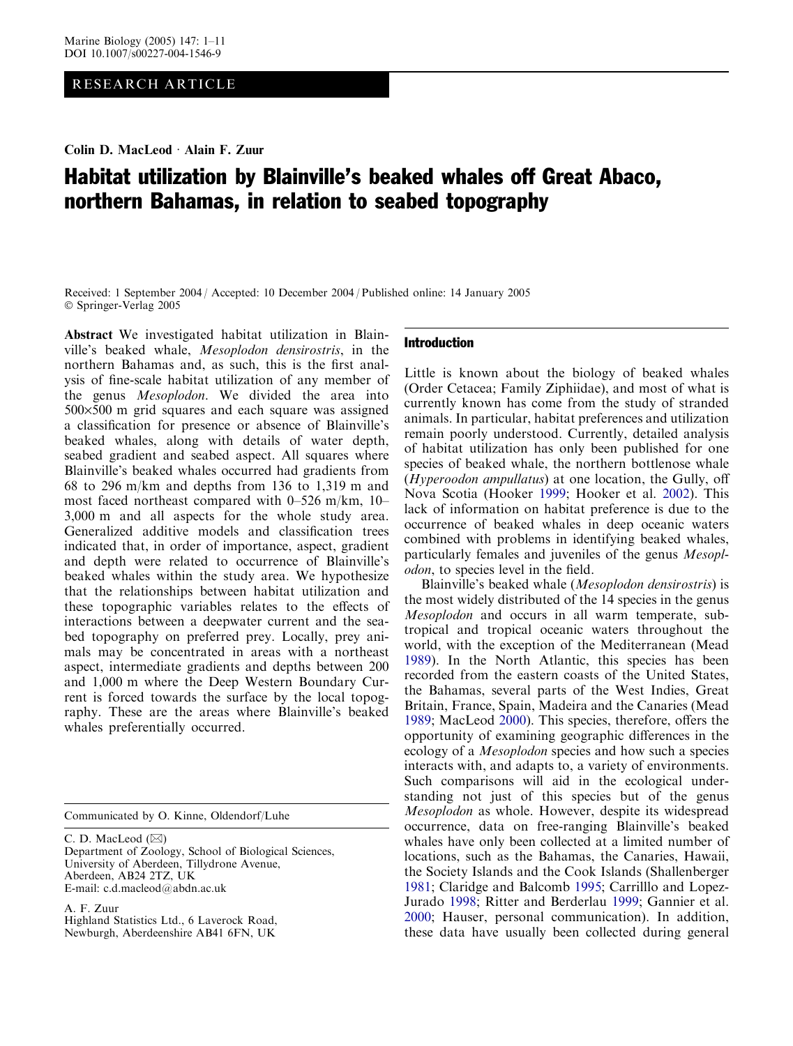## RESEARCH ARTICLE

Colin D. MacLeod *Alain F. Zuur* 

# Habitat utilization by Blainville's beaked whales off Great Abaco, northern Bahamas, in relation to seabed topography

Received: 1 September 2004 / Accepted: 10 December 2004 / Published online: 14 January 2005 Springer-Verlag 2005

Abstract We investigated habitat utilization in Blainville's beaked whale, Mesoplodon densirostris, in the northern Bahamas and, as such, this is the first analysis of fine-scale habitat utilization of any member of the genus Mesoplodon. We divided the area into  $500\times500$  m grid squares and each square was assigned a classification for presence or absence of Blainville's beaked whales, along with details of water depth, seabed gradient and seabed aspect. All squares where Blainville's beaked whales occurred had gradients from 68 to 296 m/km and depths from 136 to 1,319 m and most faced northeast compared with 0–526 m/km, 10– 3,000 m and all aspects for the whole study area. Generalized additive models and classification trees indicated that, in order of importance, aspect, gradient and depth were related to occurrence of Blainville's beaked whales within the study area. We hypothesize that the relationships between habitat utilization and these topographic variables relates to the effects of interactions between a deepwater current and the seabed topography on preferred prey. Locally, prey animals may be concentrated in areas with a northeast aspect, intermediate gradients and depths between 200 and 1,000 m where the Deep Western Boundary Current is forced towards the surface by the local topography. These are the areas where Blainville's beaked whales preferentially occurred.

Communicated by O. Kinne, Oldendorf/Luhe

C. D. MacLeod  $(\boxtimes)$ Department of Zoology, School of Biological Sciences, University of Aberdeen, Tillydrone Avenue, Aberdeen, AB24 2TZ, UK E-mail: c.d.macleod@abdn.ac.uk

A. F. Zuur Highland Statistics Ltd., 6 Laverock Road, Newburgh, Aberdeenshire AB41 6FN, UK

### Introduction

Little is known about the biology of beaked whales (Order Cetacea; Family Ziphiidae), and most of what is currently known has come from the study of stranded animals. In particular, habitat preferences and utilization remain poorly understood. Currently, detailed analysis of habitat utilization has only been published for one species of beaked whale, the northern bottlenose whale (Hyperoodon ampullatus) at one location, the Gully, off Nova Scotia (Hooker [1999;](#page-10-0) Hooker et al. [2002](#page-10-0)). This lack of information on habitat preference is due to the occurrence of beaked whales in deep oceanic waters combined with problems in identifying beaked whales, particularly females and juveniles of the genus Mesoplodon, to species level in the field.

Blainville's beaked whale (Mesoplodon densirostris) is the most widely distributed of the 14 species in the genus Mesoplodon and occurs in all warm temperate, subtropical and tropical oceanic waters throughout the world, with the exception of the Mediterranean (Mead [1989\)](#page-10-0). In the North Atlantic, this species has been recorded from the eastern coasts of the United States, the Bahamas, several parts of the West Indies, Great Britain, France, Spain, Madeira and the Canaries (Mead [1989;](#page-10-0) MacLeod [2000\)](#page-10-0). This species, therefore, offers the opportunity of examining geographic differences in the ecology of a *Mesoplodon* species and how such a species interacts with, and adapts to, a variety of environments. Such comparisons will aid in the ecological understanding not just of this species but of the genus Mesoplodon as whole. However, despite its widespread occurrence, data on free-ranging Blainville's beaked whales have only been collected at a limited number of locations, such as the Bahamas, the Canaries, Hawaii, the Society Islands and the Cook Islands (Shallenberger [1981;](#page-10-0) Claridge and Balcomb [1995](#page-10-0); Carrilllo and Lopez-Jurado [1998](#page-10-0); Ritter and Berderlau [1999](#page-10-0); Gannier et al. [2000;](#page-10-0) Hauser, personal communication). In addition, these data have usually been collected during general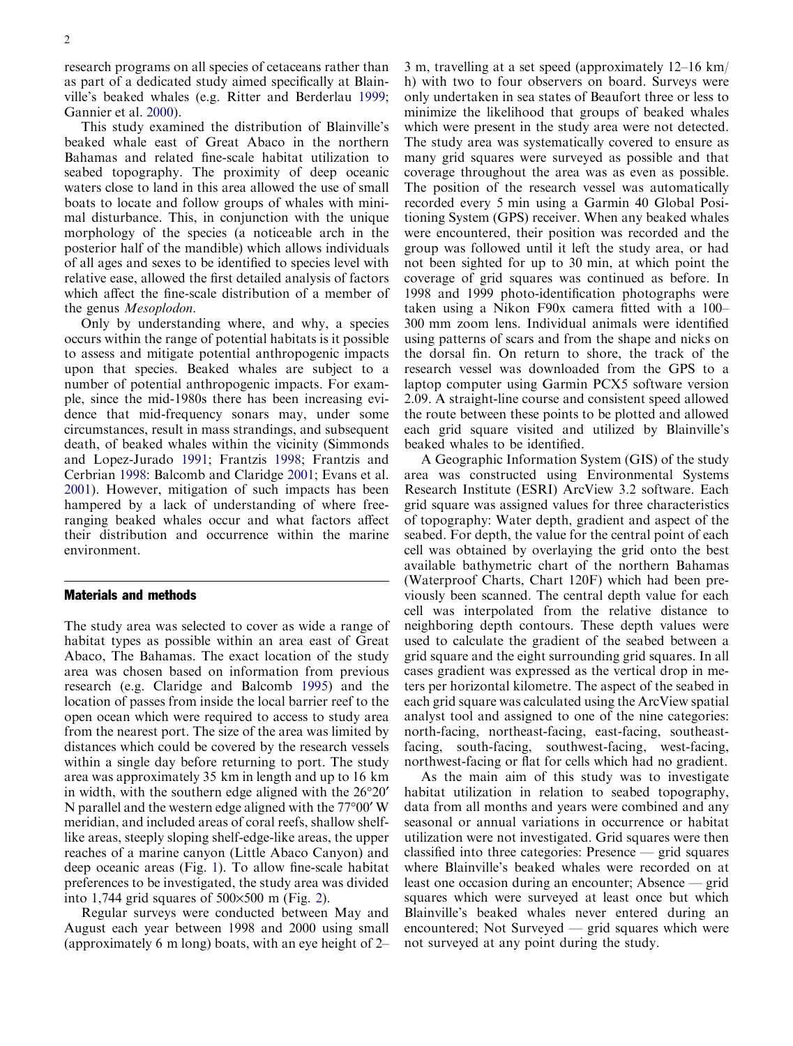research programs on all species of cetaceans rather than as part of a dedicated study aimed specifically at Blainville's beaked whales (e.g. Ritter and Berderlau [1999](#page-10-0); Gannier et al. [2000](#page-10-0)).

This study examined the distribution of Blainville's beaked whale east of Great Abaco in the northern Bahamas and related fine-scale habitat utilization to seabed topography. The proximity of deep oceanic waters close to land in this area allowed the use of small boats to locate and follow groups of whales with minimal disturbance. This, in conjunction with the unique morphology of the species (a noticeable arch in the posterior half of the mandible) which allows individuals of all ages and sexes to be identified to species level with relative ease, allowed the first detailed analysis of factors which affect the fine-scale distribution of a member of the genus Mesoplodon.

Only by understanding where, and why, a species occurs within the range of potential habitats is it possible to assess and mitigate potential anthropogenic impacts upon that species. Beaked whales are subject to a number of potential anthropogenic impacts. For example, since the mid-1980s there has been increasing evidence that mid-frequency sonars may, under some circumstances, result in mass strandings, and subsequent death, of beaked whales within the vicinity (Simmonds and Lopez-Jurado [1991](#page-10-0); Frantzis [1998](#page-10-0); Frantzis and Cerbrian [1998:](#page-10-0) Balcomb and Claridge [2001;](#page-10-0) Evans et al. [2001](#page-10-0)). However, mitigation of such impacts has been hampered by a lack of understanding of where freeranging beaked whales occur and what factors affect their distribution and occurrence within the marine environment.

#### Materials and methods

The study area was selected to cover as wide a range of habitat types as possible within an area east of Great Abaco, The Bahamas. The exact location of the study area was chosen based on information from previous research (e.g. Claridge and Balcomb [1995](#page-10-0)) and the location of passes from inside the local barrier reef to the open ocean which were required to access to study area from the nearest port. The size of the area was limited by distances which could be covered by the research vessels within a single day before returning to port. The study area was approximately 35 km in length and up to 16 km in width, with the southern edge aligned with the  $26^{\circ}20'$ N parallel and the western edge aligned with the  $77^{\circ}00'$  W meridian, and included areas of coral reefs, shallow shelflike areas, steeply sloping shelf-edge-like areas, the upper reaches of a marine canyon (Little Abaco Canyon) and deep oceanic areas (Fig. [1\). To allow fine-scale habitat](#page-2-0) [preferences to be investigated, the study area was divided](#page-2-0) into 1,744 grid squares of  $500\times500$  m (Fig. 2).

Regular surveys were conducted between May and August each year between 1998 and 2000 using small (approximately 6 m long) boats, with an eye height of 2–

3 m, travelling at a set speed (approximately 12–16 km/ h) with two to four observers on board. Surveys were only undertaken in sea states of Beaufort three or less to minimize the likelihood that groups of beaked whales which were present in the study area were not detected. The study area was systematically covered to ensure as many grid squares were surveyed as possible and that coverage throughout the area was as even as possible. The position of the research vessel was automatically recorded every 5 min using a Garmin 40 Global Positioning System (GPS) receiver. When any beaked whales were encountered, their position was recorded and the group was followed until it left the study area, or had not been sighted for up to 30 min, at which point the coverage of grid squares was continued as before. In 1998 and 1999 photo-identification photographs were taken using a Nikon F90x camera fitted with a 100– 300 mm zoom lens. Individual animals were identified using patterns of scars and from the shape and nicks on the dorsal fin. On return to shore, the track of the research vessel was downloaded from the GPS to a laptop computer using Garmin PCX5 software version 2.09. A straight-line course and consistent speed allowed the route between these points to be plotted and allowed each grid square visited and utilized by Blainville's beaked whales to be identified.

A Geographic Information System (GIS) of the study area was constructed using Environmental Systems Research Institute (ESRI) ArcView 3.2 software. Each grid square was assigned values for three characteristics of topography: Water depth, gradient and aspect of the seabed. For depth, the value for the central point of each cell was obtained by overlaying the grid onto the best available bathymetric chart of the northern Bahamas (Waterproof Charts, Chart 120F) which had been previously been scanned. The central depth value for each cell was interpolated from the relative distance to neighboring depth contours. These depth values were used to calculate the gradient of the seabed between a grid square and the eight surrounding grid squares. In all cases gradient was expressed as the vertical drop in meters per horizontal kilometre. The aspect of the seabed in each grid square was calculated using the ArcView spatial analyst tool and assigned to one of the nine categories: north-facing, northeast-facing, east-facing, southeastfacing, south-facing, southwest-facing, west-facing, northwest-facing or flat for cells which had no gradient.

As the main aim of this study was to investigate habitat utilization in relation to seabed topography, data from all months and years were combined and any seasonal or annual variations in occurrence or habitat utilization were not investigated. Grid squares were then classified into three categories: Presence — grid squares where Blainville's beaked whales were recorded on at least one occasion during an encounter; Absence — grid squares which were surveyed at least once but which Blainville's beaked whales never entered during an encountered; Not Surveyed — grid squares which were not surveyed at any point during the study.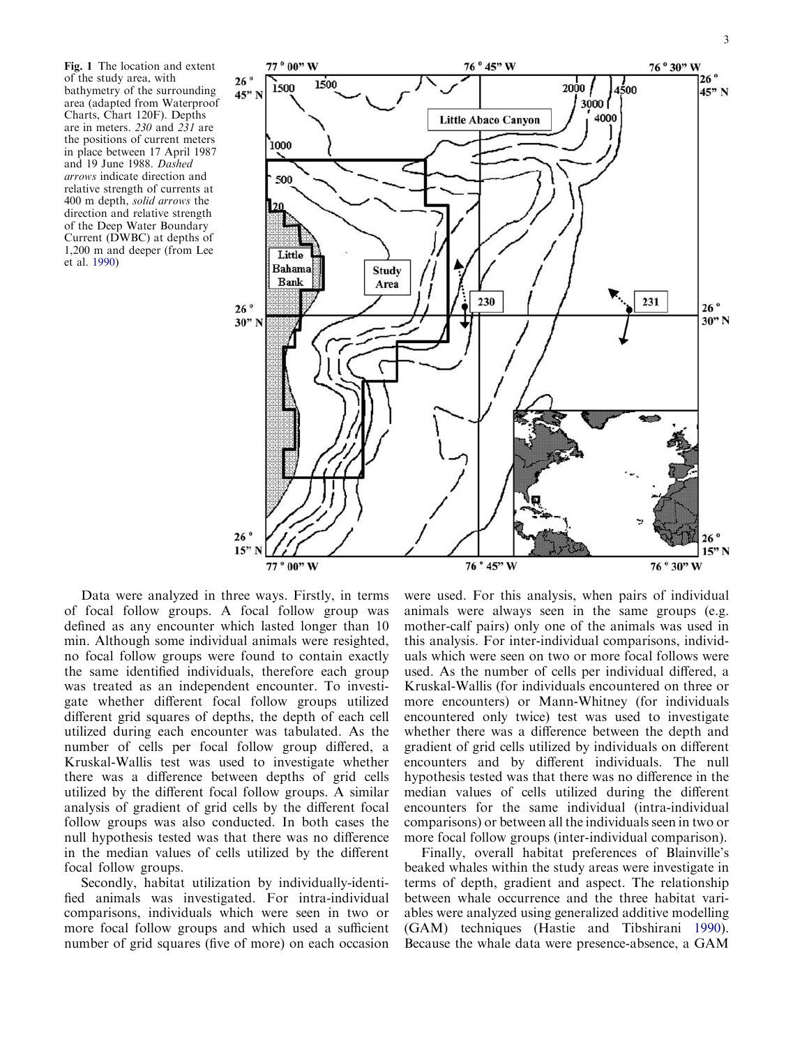<span id="page-2-0"></span>Fig. 1 The location and extent of the study area, with bathymetry of the surrounding area (adapted from Waterproof Charts, Chart 120F). Depths are in meters. 230 and 231 are the positions of current meters in place between 17 April 1987 and 19 June 1988. Dashed arrows indicate direction and relative strength of currents at 400 m depth, solid arrows the direction and relative strength of the Deep Water Boundary Current (DWBC) at depths of 1,200 m and deeper (from Lee et al. [1990](#page-10-0))



Data were analyzed in three ways. Firstly, in terms of focal follow groups. A focal follow group was defined as any encounter which lasted longer than 10 min. Although some individual animals were resighted, no focal follow groups were found to contain exactly the same identified individuals, therefore each group was treated as an independent encounter. To investigate whether different focal follow groups utilized different grid squares of depths, the depth of each cell utilized during each encounter was tabulated. As the number of cells per focal follow group differed, a Kruskal-Wallis test was used to investigate whether there was a difference between depths of grid cells utilized by the different focal follow groups. A similar analysis of gradient of grid cells by the different focal follow groups was also conducted. In both cases the null hypothesis tested was that there was no difference in the median values of cells utilized by the different focal follow groups.

Secondly, habitat utilization by individually-identified animals was investigated. For intra-individual comparisons, individuals which were seen in two or more focal follow groups and which used a sufficient number of grid squares (five of more) on each occasion

were used. For this analysis, when pairs of individual animals were always seen in the same groups (e.g. mother-calf pairs) only one of the animals was used in this analysis. For inter-individual comparisons, individuals which were seen on two or more focal follows were used. As the number of cells per individual differed, a Kruskal-Wallis (for individuals encountered on three or more encounters) or Mann-Whitney (for individuals encountered only twice) test was used to investigate whether there was a difference between the depth and gradient of grid cells utilized by individuals on different encounters and by different individuals. The null hypothesis tested was that there was no difference in the median values of cells utilized during the different encounters for the same individual (intra-individual comparisons) or between all the individuals seen in two or more focal follow groups (inter-individual comparison).

Finally, overall habitat preferences of Blainville's beaked whales within the study areas were investigate in terms of depth, gradient and aspect. The relationship between whale occurrence and the three habitat variables were analyzed using generalized additive modelling (GAM) techniques (Hastie and Tibshirani [1990\)](#page-10-0). Because the whale data were presence-absence, a GAM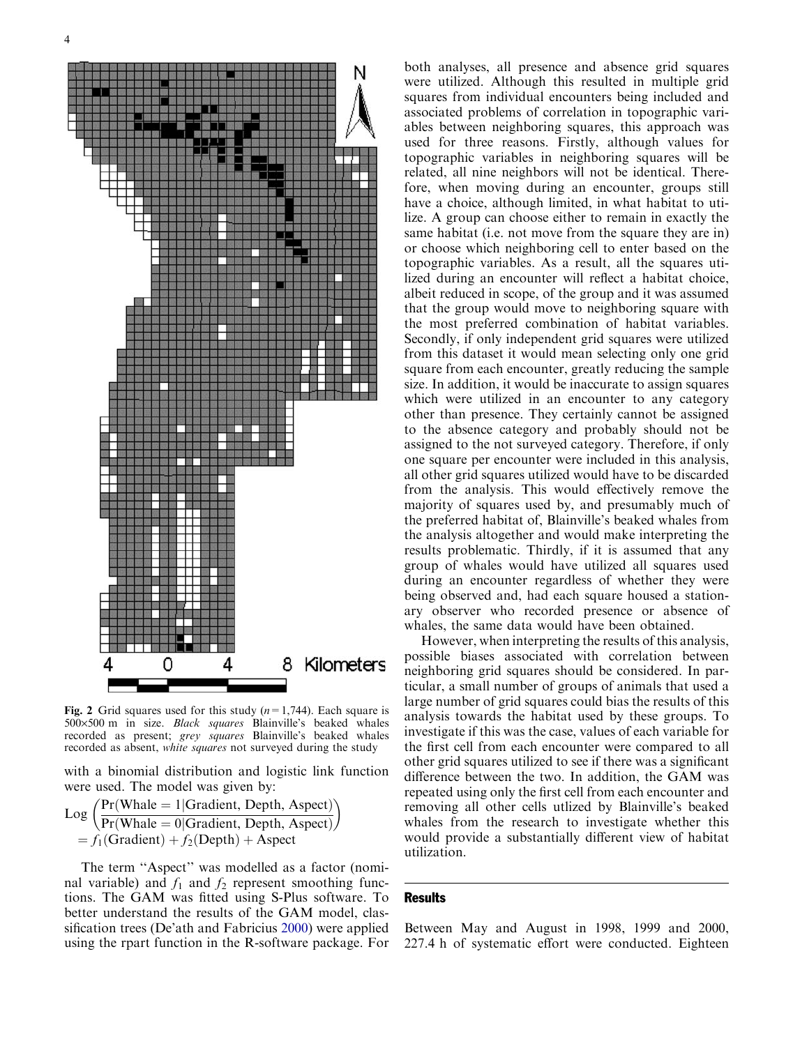<span id="page-3-0"></span>

Fig. 2 Grid squares used for this study  $(n=1,744)$ . Each square is 500×500 m in size. Black squares Blainville's beaked whales recorded as present; grey squares Blainville's beaked whales recorded as absent, white squares not surveyed during the study

with a binomial distribution and logistic link function were used. The model was given by:

Log 
$$
\left( \frac{\Pr(\text{Whale} = 1 | \text{Gradient}, \text{Depth}, \text{Aspect})}{\Pr(\text{Whale} = 0 | \text{Gradient}, \text{Depth}, \text{Aspect})} \right)
$$
  
=  $f_1(\text{Gradient}) + f_2(\text{Depth}) + \text{Aspect}$ 

The term ''Aspect'' was modelled as a factor (nominal variable) and  $f_1$  and  $f_2$  represent smoothing functions. The GAM was fitted using S-Plus software. To better understand the results of the GAM model, classification trees (De'ath and Fabricius [2000](#page-10-0)) were applied using the rpart function in the R-software package. For

both analyses, all presence and absence grid squares were utilized. Although this resulted in multiple grid squares from individual encounters being included and associated problems of correlation in topographic variables between neighboring squares, this approach was used for three reasons. Firstly, although values for topographic variables in neighboring squares will be related, all nine neighbors will not be identical. Therefore, when moving during an encounter, groups still have a choice, although limited, in what habitat to utilize. A group can choose either to remain in exactly the same habitat (i.e. not move from the square they are in) or choose which neighboring cell to enter based on the topographic variables. As a result, all the squares utilized during an encounter will reflect a habitat choice, albeit reduced in scope, of the group and it was assumed that the group would move to neighboring square with the most preferred combination of habitat variables. Secondly, if only independent grid squares were utilized from this dataset it would mean selecting only one grid square from each encounter, greatly reducing the sample size. In addition, it would be inaccurate to assign squares which were utilized in an encounter to any category other than presence. They certainly cannot be assigned to the absence category and probably should not be assigned to the not surveyed category. Therefore, if only one square per encounter were included in this analysis, all other grid squares utilized would have to be discarded from the analysis. This would effectively remove the majority of squares used by, and presumably much of the preferred habitat of, Blainville's beaked whales from the analysis altogether and would make interpreting the results problematic. Thirdly, if it is assumed that any group of whales would have utilized all squares used during an encounter regardless of whether they were being observed and, had each square housed a stationary observer who recorded presence or absence of whales, the same data would have been obtained.

However, when interpreting the results of this analysis, possible biases associated with correlation between neighboring grid squares should be considered. In particular, a small number of groups of animals that used a large number of grid squares could bias the results of this analysis towards the habitat used by these groups. To investigate if this was the case, values of each variable for the first cell from each encounter were compared to all other grid squares utilized to see if there was a significant difference between the two. In addition, the GAM was repeated using only the first cell from each encounter and removing all other cells utlized by Blainville's beaked whales from the research to investigate whether this would provide a substantially different view of habitat utilization.

#### **Results**

Between May and August in 1998, 1999 and 2000, 227.4 h of systematic effort were conducted. Eighteen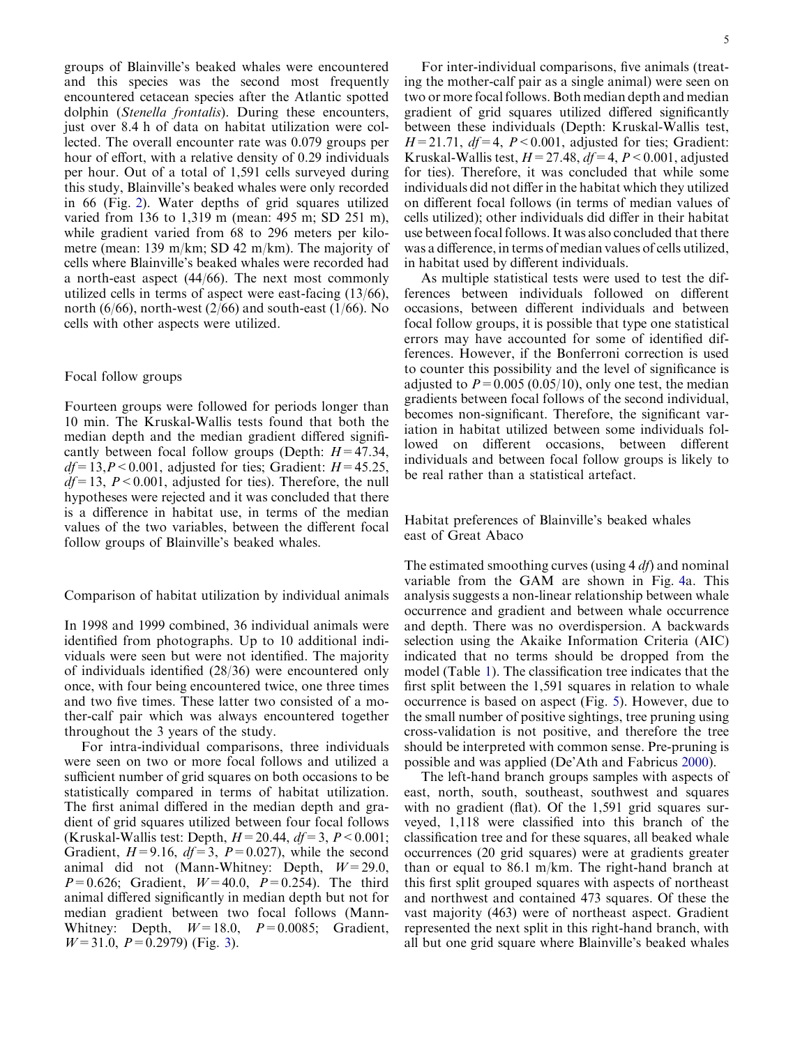groups of Blainville's beaked whales were encountered and this species was the second most frequently encountered cetacean species after the Atlantic spotted dolphin (Stenella frontalis). During these encounters, just over 8.4 h of data on habitat utilization were collected. The overall encounter rate was 0.079 groups per hour of effort, with a relative density of 0.29 individuals per hour. Out of a total of 1,591 cells surveyed during this study, Blainville's beaked whales were only recorded in 66 (Fig. [2\). Water depths of grid squares utilized](#page-3-0) [varied from 136 to 1,319 m \(mean: 495 m; SD 251 m\),](#page-3-0) [while gradient varied from 68 to 296 meters per kilo](#page-3-0)[metre \(mean: 139 m/km; SD 42 m/km\). The majority of](#page-3-0) [cells where Blainville's beaked whales were recorded had](#page-3-0) [a north-east aspect \(44/66\). The next most commonly](#page-3-0) [utilized cells in terms of aspect were east-facing \(13/66\),](#page-3-0) [north \(6/66\), north-west \(2/66\) and south-east \(1/66\). No](#page-3-0) [cells with other aspects were utilized.](#page-3-0)

## Focal follow groups

Fourteen groups were followed for periods longer than 10 min. The Kruskal-Wallis tests found that both the median depth and the median gradient differed significantly between focal follow groups (Depth:  $H=47.34$ ,  $df = 13, P < 0.001$ , adjusted for ties; Gradient:  $H = 45.25$ ,  $df=13$ ,  $P<0.001$ , adjusted for ties). Therefore, the null hypotheses were rejected and it was concluded that there is a difference in habitat use, in terms of the median values of the two variables, between the different focal follow groups of Blainville's beaked whales.

Comparison of habitat utilization by individual animals

In 1998 and 1999 combined, 36 individual animals were identified from photographs. Up to 10 additional individuals were seen but were not identified. The majority of individuals identified (28/36) were encountered only once, with four being encountered twice, one three times and two five times. These latter two consisted of a mother-calf pair which was always encountered together throughout the 3 years of the study.

For intra-individual comparisons, three individuals were seen on two or more focal follows and utilized a sufficient number of grid squares on both occasions to be statistically compared in terms of habitat utilization. The first animal differed in the median depth and gradient of grid squares utilized between four focal follows (Kruskal-Wallis test: Depth,  $H=20.44$ ,  $df=3$ ,  $P<0.001$ ; Gradient,  $H=9.16$ ,  $df=3$ ,  $P=0.027$ ), while the second animal did not (Mann-Whitney: Depth,  $W=29.0$ ,  $P=0.626$ ; Gradient,  $W=40.0$ ,  $P=0.254$ ). The third animal differed significantly in median depth but not for median gradient between two focal follows (Mann-Whitney: Depth,  $W=18.0$ ,  $P=0.0085$ ; Gradient,  $W=31.0, P=0.2979$  (Fig. [3\).](#page-5-0)

For inter-individual comparisons, five animals (treating the mother-calf pair as a single animal) were seen on two or more focal follows. Both median depth and median gradient of grid squares utilized differed significantly between these individuals (Depth: Kruskal-Wallis test,  $H=21.71$ ,  $df=4$ ,  $P<0.001$ , adjusted for ties; Gradient: Kruskal-Wallis test,  $H = 27.48$ ,  $df=4$ ,  $P < 0.001$ , adjusted for ties). Therefore, it was concluded that while some individuals did not differ in the habitat which they utilized on different focal follows (in terms of median values of cells utilized); other individuals did differ in their habitat use between focal follows. It was also concluded that there was a difference, in terms of median values of cells utilized, in habitat used by different individuals.

As multiple statistical tests were used to test the differences between individuals followed on different occasions, between different individuals and between focal follow groups, it is possible that type one statistical errors may have accounted for some of identified differences. However, if the Bonferroni correction is used to counter this possibility and the level of significance is adjusted to  $P = 0.005 (0.05/10)$ , only one test, the median gradients between focal follows of the second individual, becomes non-significant. Therefore, the significant variation in habitat utilized between some individuals followed on different occasions, between different individuals and between focal follow groups is likely to be real rather than a statistical artefact.

## Habitat preferences of Blainville's beaked whales east of Great Abaco

The estimated smoothing curves (using  $4 df$ ) and nominal variable from the GAM are shown in Fig. [4a. This](#page-7-0) [analysis suggests a non-linear relationship between whale](#page-7-0) [occurrence and gradient and between whale occurrence](#page-7-0) [and depth. There was no overdispersion. A backwards](#page-7-0) [selection using the Akaike Information Criteria \(AIC\)](#page-7-0) [indicated that no terms should be dropped from the](#page-7-0) model (Table [1\). The classification tree indicates that the](#page-7-0) [first split between the 1,591 squares in relation to whale](#page-7-0) [occurrence is based on aspect \(Fig.](#page-8-0) 5). However, due to [the small number of positive sightings, tree pruning using](#page-8-0) [cross-validation is not positive, and therefore the tree](#page-8-0) [should be interpreted with common sense. Pre-pruning is](#page-8-0) [possible and was applied \(De'Ath and Fabricus](#page-10-0) 2000).

The left-hand branch groups samples with aspects of east, north, south, southeast, southwest and squares with no gradient (flat). Of the 1,591 grid squares surveyed, 1,118 were classified into this branch of the classification tree and for these squares, all beaked whale occurrences (20 grid squares) were at gradients greater than or equal to 86.1 m/km. The right-hand branch at this first split grouped squares with aspects of northeast and northwest and contained 473 squares. Of these the vast majority (463) were of northeast aspect. Gradient represented the next split in this right-hand branch, with all but one grid square where Blainville's beaked whales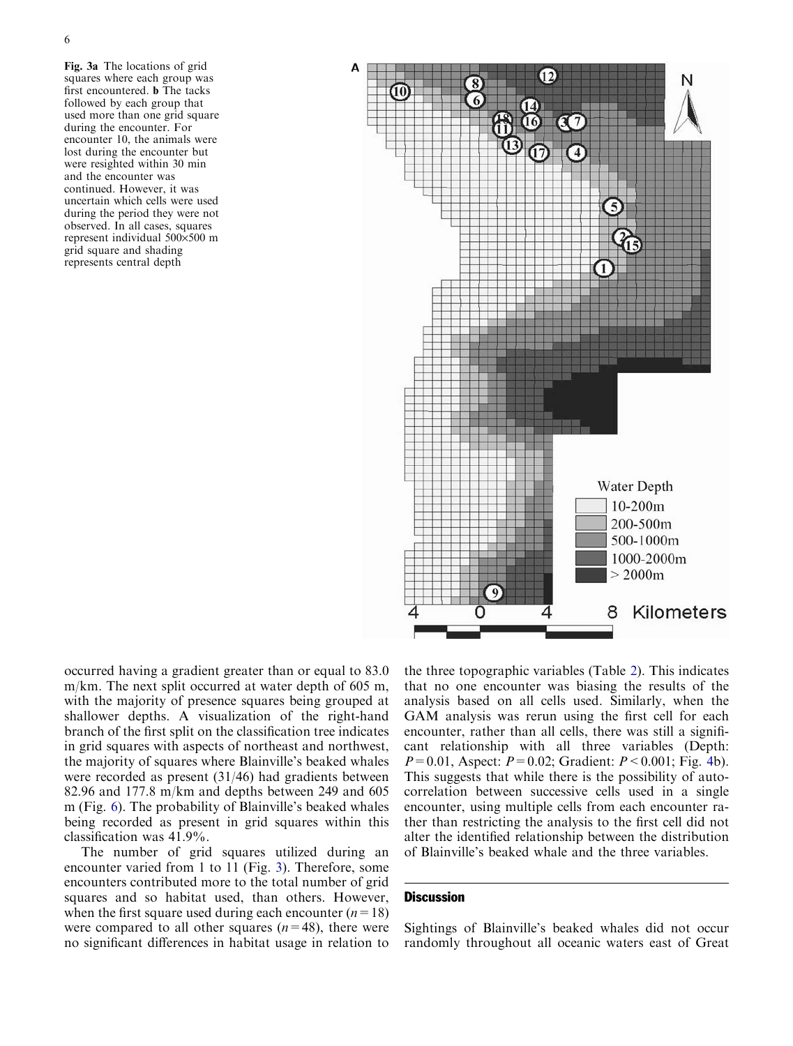<span id="page-5-0"></span>Fig. 3a The locations of grid squares where each group was first encountered. b The tacks followed by each group that used more than one grid square during the encounter. For encounter 10, the animals were lost during the encounter but were resighted within 30 min and the encounter was continued. However, it was uncertain which cells were used during the period they were not observed. In all cases, squares represent individual  $500\times500$  m grid square and shading represents central depth



occurred having a gradient greater than or equal to 83.0 m/km. The next split occurred at water depth of 605 m, with the majority of presence squares being grouped at shallower depths. A visualization of the right-hand branch of the first split on the classification tree indicates in grid squares with aspects of northeast and northwest, the majority of squares where Blainville's beaked whales were recorded as present (31/46) had gradients between 82.96 and 177.8 m/km and depths between 249 and 605 m (Fig. [6\). The probability of Blainville's beaked whales](#page-8-0) [being recorded as present in grid squares within this](#page-8-0) [classification was 41.9%.](#page-8-0)

The number of grid squares utilized during an encounter varied from 1 to 11 (Fig. 3). Therefore, some encounters contributed more to the total number of grid squares and so habitat used, than others. However, when the first square used during each encounter  $(n=18)$ were compared to all other squares  $(n=48)$ , there were no significant differences in habitat usage in relation to

[the three topographic variables \(Table](#page-9-0) 2). This indicates [that no one encounter was biasing the results of the](#page-9-0) [analysis based on all cells used. Similarly, when the](#page-9-0) [GAM analysis was rerun using the first cell for each](#page-9-0) [encounter, rather than all cells, there was still a signifi](#page-9-0)[cant relationship with all three variables \(Depth:](#page-9-0)  $P=0.01$ , Aspect:  $P=0.02$ ; Gradient:  $P < 0.001$ ; Fig. 4b). [This suggests that while there is the possibility of auto](#page-7-0)[correlation between successive cells used in a single](#page-7-0) [encounter, using multiple cells from each encounter ra](#page-7-0)[ther than restricting the analysis to the first cell did not](#page-7-0) [alter the identified relationship between the distribution](#page-7-0) [of Blainville's beaked whale and the three variables.](#page-7-0)

## **Discussion**

Sightings of Blainville's beaked whales did not occur randomly throughout all oceanic waters east of Great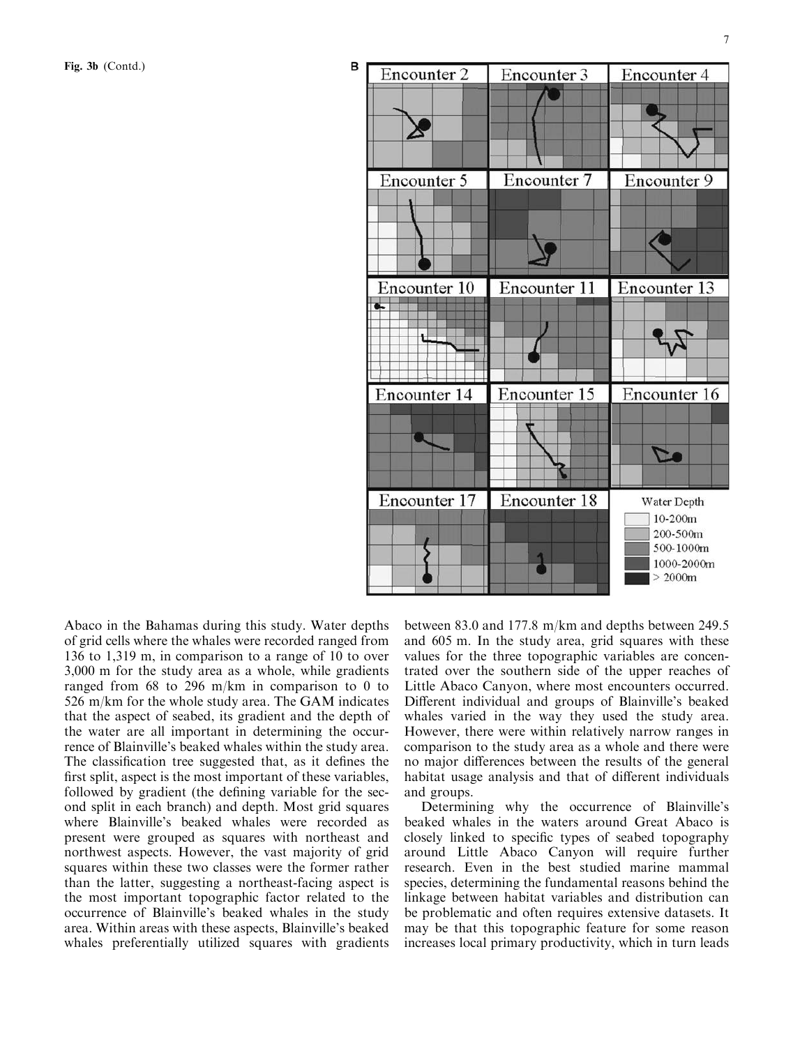

Abaco in the Bahamas during this study. Water depths of grid cells where the whales were recorded ranged from 136 to 1,319 m, in comparison to a range of 10 to over 3,000 m for the study area as a whole, while gradients ranged from 68 to 296 m/km in comparison to 0 to 526 m/km for the whole study area. The GAM indicates that the aspect of seabed, its gradient and the depth of the water are all important in determining the occurrence of Blainville's beaked whales within the study area. The classification tree suggested that, as it defines the first split, aspect is the most important of these variables, followed by gradient (the defining variable for the second split in each branch) and depth. Most grid squares where Blainville's beaked whales were recorded as present were grouped as squares with northeast and northwest aspects. However, the vast majority of grid squares within these two classes were the former rather than the latter, suggesting a northeast-facing aspect is the most important topographic factor related to the occurrence of Blainville's beaked whales in the study area. Within areas with these aspects, Blainville's beaked whales preferentially utilized squares with gradients between 83.0 and 177.8 m/km and depths between 249.5 and 605 m. In the study area, grid squares with these values for the three topographic variables are concentrated over the southern side of the upper reaches of Little Abaco Canyon, where most encounters occurred. Different individual and groups of Blainville's beaked whales varied in the way they used the study area. However, there were within relatively narrow ranges in comparison to the study area as a whole and there were no major differences between the results of the general habitat usage analysis and that of different individuals and groups.

Determining why the occurrence of Blainville's beaked whales in the waters around Great Abaco is closely linked to specific types of seabed topography around Little Abaco Canyon will require further research. Even in the best studied marine mammal species, determining the fundamental reasons behind the linkage between habitat variables and distribution can be problematic and often requires extensive datasets. It may be that this topographic feature for some reason increases local primary productivity, which in turn leads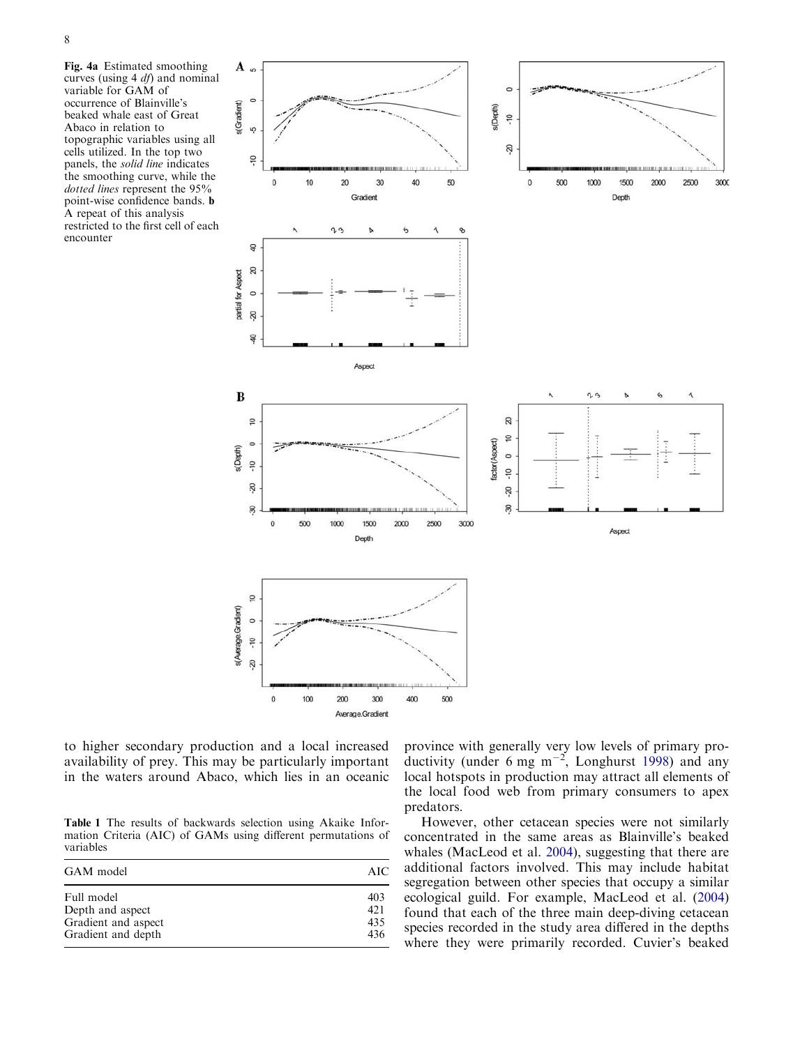<span id="page-7-0"></span>Fig. 4a Estimated smoothing curves (using  $4 \text{ df}$ ) and nominal variable for GAM of occurrence of Blainville's beaked whale east of Great Abaco in relation to topographic variables using all cells utilized. In the top two panels, the solid line indicates the smoothing curve, while the dotted lines represent the 95% point-wise confidence bands. b A repeat of this analysis restricted to the first cell of each encounter



to higher secondary production and a local increased availability of prey. This may be particularly important in the waters around Abaco, which lies in an oceanic

Table 1 The results of backwards selection using Akaike Information Criteria (AIC) of GAMs using different permutations of variables

| GAM model           | AIC |  |
|---------------------|-----|--|
| Full model          | 403 |  |
| Depth and aspect    | 421 |  |
| Gradient and aspect | 435 |  |
| Gradient and depth  | 436 |  |

province with generally very low levels of primary pro-ductivity (under 6 mg m<sup>-2</sup>, Longhurst [1998](#page-10-0)) and any local hotspots in production may attract all elements of the local food web from primary consumers to apex predators.

However, other cetacean species were not similarly concentrated in the same areas as Blainville's beaked whales (MacLeod et al. [2004\)](#page-10-0), suggesting that there are additional factors involved. This may include habitat segregation between other species that occupy a similar ecological guild. For example, MacLeod et al. [\(2004\)](#page-10-0) found that each of the three main deep-diving cetacean species recorded in the study area differed in the depths where they were primarily recorded. Cuvier's beaked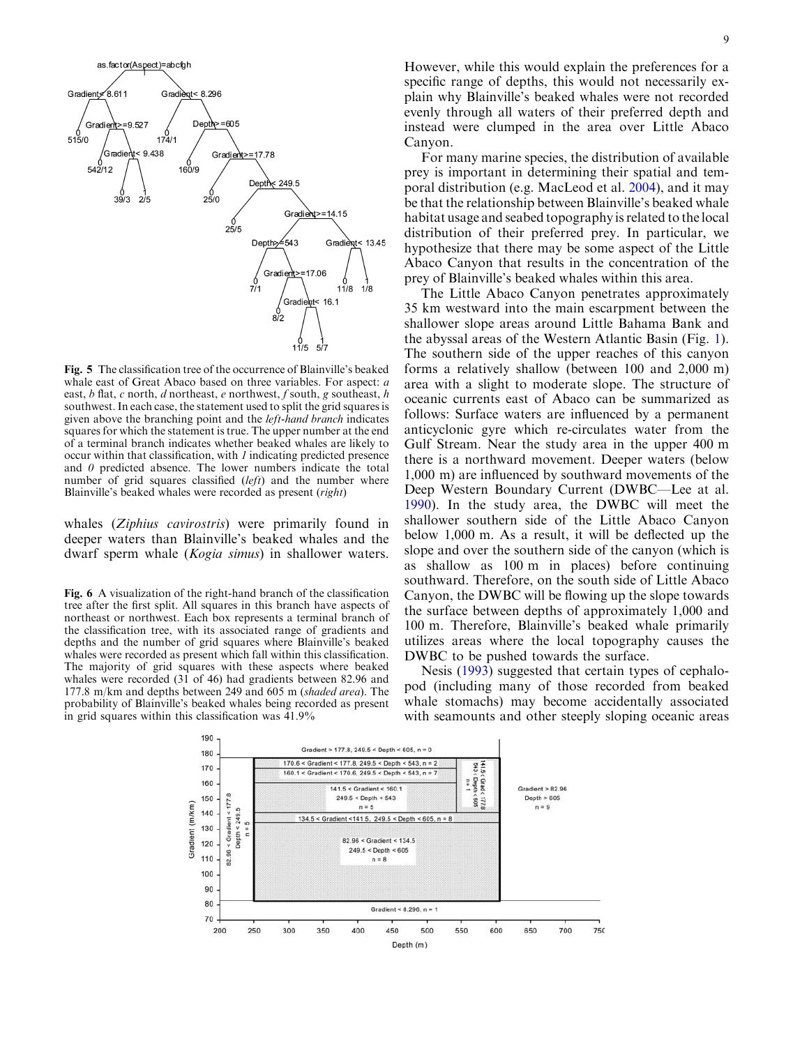<span id="page-8-0"></span>

Fig. 5 The classification tree of the occurrence of Blainville's beaked whale east of Great Abaco based on three variables. For aspect: *a* east, b flat, c north, d northeast, e northwest, f south, g southeast, h southwest. In each case, the statement used to split the grid squares is given above the branching point and the left-hand branch indicates squares for which the statement is true. The upper number at the end of a terminal branch indicates whether beaked whales are likely to occur within that classification, with 1 indicating predicted presence and 0 predicted absence. The lower numbers indicate the total number of grid squares classified (left) and the number where Blainville's beaked whales were recorded as present (right)

whales (Ziphius cavirostris) were primarily found in deeper waters than Blainville's beaked whales and the dwarf sperm whale (Kogia simus) in shallower waters.

Fig. 6 A visualization of the right-hand branch of the classification tree after the first split. All squares in this branch have aspects of northeast or northwest. Each box represents a terminal branch of the classification tree, with its associated range of gradients and depths and the number of grid squares where Blainville's beaked whales were recorded as present which fall within this classification. The majority of grid squares with these aspects where beaked whales were recorded (31 of 46) had gradients between 82.96 and 177.8 m/km and depths between 249 and 605 m (shaded area). The probability of Blainville's beaked whales being recorded as present in grid squares within this classification was 41.9%

However, while this would explain the preferences for a specific range of depths, this would not necessarily explain why Blainville's beaked whales were not recorded evenly through all waters of their preferred depth and instead were clumped in the area over Little Abaco Canyon.

For many marine species, the distribution of available prey is important in determining their spatial and temporal distribution (e.g. MacLeod et al. [2004](#page-10-0)), and it may be that the relationship between Blainville's beaked whale habitat usage and seabed topography is related to the local distribution of their preferred prey. In particular, we hypothesize that there may be some aspect of the Little Abaco Canyon that results in the concentration of the prey of Blainville's beaked whales within this area.

The Little Abaco Canyon penetrates approximately 35 km westward into the main escarpment between the shallower slope areas around Little Bahama Bank and the abyssal areas of the Western Atlantic Basin (Fig. [1\).](#page-2-0) [The southern side of the upper reaches of this canyon](#page-2-0) [forms a relatively shallow \(between 100 and 2,000 m\)](#page-2-0) [area with a slight to moderate slope. The structure of](#page-2-0) [oceanic currents east of Abaco can be summarized as](#page-2-0) [follows: Surface waters are influenced by a permanent](#page-2-0) [anticyclonic gyre which re-circulates water from the](#page-2-0) [Gulf Stream. Near the study area in the upper 400 m](#page-2-0) [there is a northward movement. Deeper waters \(below](#page-2-0) [1,000 m\) are influenced by southward movements of the](#page-2-0) [Deep Western Boundary Current \(DWBC—Lee at al.](#page-2-0) [1990\)](#page-10-0). In the study area, the DWBC will meet the shallower southern side of the Little Abaco Canyon below 1,000 m. As a result, it will be deflected up the slope and over the southern side of the canyon (which is as shallow as 100 m in places) before continuing southward. Therefore, on the south side of Little Abaco Canyon, the DWBC will be flowing up the slope towards the surface between depths of approximately 1,000 and 100 m. Therefore, Blainville's beaked whale primarily utilizes areas where the local topography causes the DWBC to be pushed towards the surface.

Nesis [\(1993\)](#page-10-0) suggested that certain types of cephalopod (including many of those recorded from beaked whale stomachs) may become accidentally associated with seamounts and other steeply sloping oceanic areas

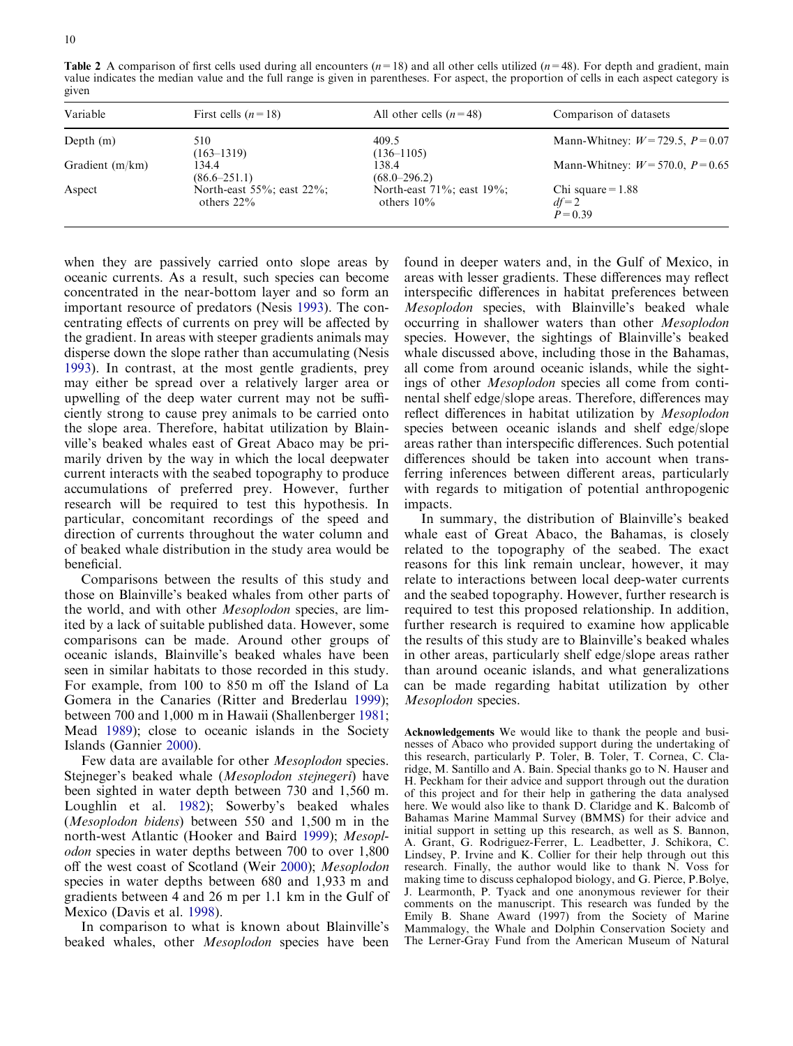| Variable          | First cells $(n=18)$                               | All other cells $(n=48)$                           | Comparison of datasets                        |
|-------------------|----------------------------------------------------|----------------------------------------------------|-----------------------------------------------|
| Depth $(m)$       | 510.<br>$(163 - 1319)$                             | 409.5<br>$(136 - 1105)$                            | Mann-Whitney: $W = 729.5$ , $P = 0.07$        |
| Gradient $(m/km)$ | 134.4<br>$(86.6 - 251.1)$                          | 138.4<br>$(68.0 - 296.2)$                          | Mann-Whitney: $W = 570.0$ , $P = 0.65$        |
| Aspect            | North-east $55\%$ ; east $22\%$ ;<br>others $22\%$ | North-east $71\%$ ; east $19\%$ ;<br>others $10\%$ | Chi square $= 1.88$<br>$df = 2$<br>$P = 0.39$ |

<span id="page-9-0"></span>**Table 2** A comparison of first cells used during all encounters  $(n=18)$  and all other cells utilized  $(n=48)$ . For depth and gradient, main value indicates the median value and the full range is given in parentheses. For aspect, the proportion of cells in each aspect category is given

when they are passively carried onto slope areas by oceanic currents. As a result, such species can become concentrated in the near-bottom layer and so form an important resource of predators (Nesis [1993](#page-10-0)). The concentrating effects of currents on prey will be affected by the gradient. In areas with steeper gradients animals may disperse down the slope rather than accumulating (Nesis [1993](#page-10-0)). In contrast, at the most gentle gradients, prey may either be spread over a relatively larger area or upwelling of the deep water current may not be sufficiently strong to cause prey animals to be carried onto the slope area. Therefore, habitat utilization by Blainville's beaked whales east of Great Abaco may be primarily driven by the way in which the local deepwater current interacts with the seabed topography to produce accumulations of preferred prey. However, further research will be required to test this hypothesis. In particular, concomitant recordings of the speed and direction of currents throughout the water column and of beaked whale distribution in the study area would be beneficial.

Comparisons between the results of this study and those on Blainville's beaked whales from other parts of the world, and with other Mesoplodon species, are limited by a lack of suitable published data. However, some comparisons can be made. Around other groups of oceanic islands, Blainville's beaked whales have been seen in similar habitats to those recorded in this study. For example, from 100 to 850 m off the Island of La Gomera in the Canaries (Ritter and Brederlau [1999\)](#page-10-0); between 700 and 1,000 m in Hawaii (Shallenberger [1981](#page-10-0); Mead [1989](#page-10-0)); close to oceanic islands in the Society Islands (Gannier [2000](#page-10-0)).

Few data are available for other *Mesoplodon* species. Stejneger's beaked whale (Mesoplodon stejnegeri) have been sighted in water depth between 730 and 1,560 m. Loughlin et al. [1982](#page-10-0)); Sowerby's beaked whales (Mesoplodon bidens) between 550 and 1,500 m in the north-west Atlantic (Hooker and Baird [1999](#page-10-0)); Mesoplodon species in water depths between 700 to over 1,800 off the west coast of Scotland (Weir [2000\)](#page-10-0); Mesoplodon species in water depths between 680 and 1,933 m and gradients between 4 and 26 m per 1.1 km in the Gulf of Mexico (Davis et al. [1998](#page-10-0)).

In comparison to what is known about Blainville's beaked whales, other Mesoplodon species have been

found in deeper waters and, in the Gulf of Mexico, in areas with lesser gradients. These differences may reflect interspecific differences in habitat preferences between Mesoplodon species, with Blainville's beaked whale occurring in shallower waters than other Mesoplodon species. However, the sightings of Blainville's beaked whale discussed above, including those in the Bahamas, all come from around oceanic islands, while the sightings of other Mesoplodon species all come from continental shelf edge/slope areas. Therefore, differences may reflect differences in habitat utilization by Mesoplodon species between oceanic islands and shelf edge/slope areas rather than interspecific differences. Such potential differences should be taken into account when transferring inferences between different areas, particularly with regards to mitigation of potential anthropogenic impacts.

In summary, the distribution of Blainville's beaked whale east of Great Abaco, the Bahamas, is closely related to the topography of the seabed. The exact reasons for this link remain unclear, however, it may relate to interactions between local deep-water currents and the seabed topography. However, further research is required to test this proposed relationship. In addition, further research is required to examine how applicable the results of this study are to Blainville's beaked whales in other areas, particularly shelf edge/slope areas rather than around oceanic islands, and what generalizations can be made regarding habitat utilization by other Mesoplodon species.

Acknowledgements We would like to thank the people and businesses of Abaco who provided support during the undertaking of this research, particularly P. Toler, B. Toler, T. Cornea, C. Claridge, M. Santillo and A. Bain. Special thanks go to N. Hauser and H. Peckham for their advice and support through out the duration of this project and for their help in gathering the data analysed here. We would also like to thank D. Claridge and K. Balcomb of Bahamas Marine Mammal Survey (BMMS) for their advice and initial support in setting up this research, as well as S. Bannon, A. Grant, G. Rodriguez-Ferrer, L. Leadbetter, J. Schikora, C. Lindsey, P. Irvine and K. Collier for their help through out this research. Finally, the author would like to thank N. Voss for making time to discuss cephalopod biology, and G. Pierce, P.Bolye, J. Learmonth, P. Tyack and one anonymous reviewer for their comments on the manuscript. This research was funded by the Emily B. Shane Award (1997) from the Society of Marine Mammalogy, the Whale and Dolphin Conservation Society and The Lerner-Gray Fund from the American Museum of Natural